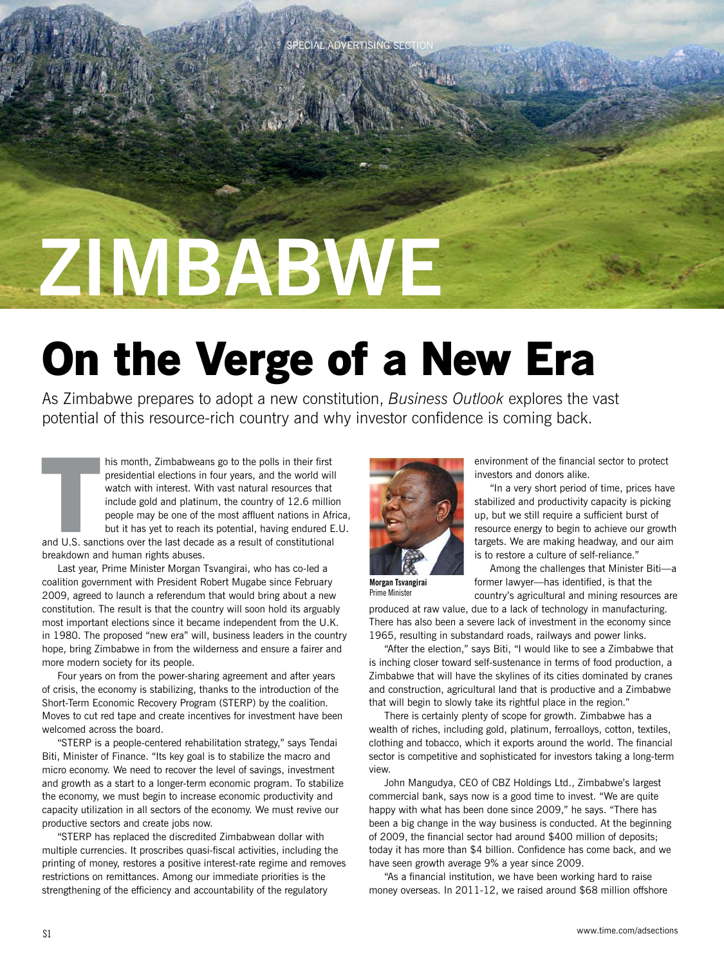# **ZIMBABWE**

## **On the Verge of a New Era**

As Zimbabwe prepares to adopt a new constitution, *Business Outlook* explores the vast potential of this resource-rich country and why investor confidence is coming back.

**ECIAL ADVERTISING SEC** 

his month, Zimbabweans go to the polls in their first presidential elections in four years, and the world will watch with interest. With vast natural resources that include gold and platinum, the country of 12.6 million people may be one of the most affluent nations in Africa, but it has yet to reach its potential, having endured E.U. his month, Zimbabweans go to the polls in their first<br>presidential elections in four years, and the world will<br>watch with interest. With vast natural resources that<br>include gold and platinum, the country of 12.6 million<br>pe

breakdown and human rights abuses.

Last year, Prime Minister Morgan Tsvangirai, who has co-led a coalition government with President Robert Mugabe since February 2009, agreed to launch a referendum that would bring about a new constitution. The result is that the country will soon hold its arguably most important elections since it became independent from the U.K. in 1980. The proposed "new era" will, business leaders in the country hope, bring Zimbabwe in from the wilderness and ensure a fairer and more modern society for its people.

Four years on from the power-sharing agreement and after years of crisis, the economy is stabilizing, thanks to the introduction of the Short-Term Economic Recovery Program (STERP) by the coalition. Moves to cut red tape and create incentives for investment have been welcomed across the board.

"STERP is a people-centered rehabilitation strategy," says Tendai Biti, Minister of Finance. "Its key goal is to stabilize the macro and micro economy. We need to recover the level of savings, investment and growth as a start to a longer-term economic program. To stabilize the economy, we must begin to increase economic productivity and capacity utilization in all sectors of the economy. We must revive our productive sectors and create jobs now.

"STERP has replaced the discredited Zimbabwean dollar with multiple currencies. It proscribes quasi-fiscal activities, including the printing of money, restores a positive interest-rate regime and removes restrictions on remittances. Among our immediate priorities is the strengthening of the efficiency and accountability of the regulatory



environment of the financial sector to protect investors and donors alike.

"In a very short period of time, prices have stabilized and productivity capacity is picking up, but we still require a sufficient burst of resource energy to begin to achieve our growth targets. We are making headway, and our aim is to restore a culture of self-reliance."

**Morgan Tsvangirai** Prime Minister

Among the challenges that Minister Biti—a former lawyer—has identified, is that the country's agricultural and mining resources are

produced at raw value, due to a lack of technology in manufacturing. There has also been a severe lack of investment in the economy since 1965, resulting in substandard roads, railways and power links.

"After the election," says Biti, "I would like to see a Zimbabwe that is inching closer toward self-sustenance in terms of food production, a Zimbabwe that will have the skylines of its cities dominated by cranes and construction, agricultural land that is productive and a Zimbabwe that will begin to slowly take its rightful place in the region."

There is certainly plenty of scope for growth. Zimbabwe has a wealth of riches, including gold, platinum, ferroalloys, cotton, textiles, clothing and tobacco, which it exports around the world. The financial sector is competitive and sophisticated for investors taking a long-term view.

John Mangudya, CEO of CBZ Holdings Ltd., Zimbabwe's largest commercial bank, says now is a good time to invest. "We are quite happy with what has been done since 2009," he says. "There has been a big change in the way business is conducted. At the beginning of 2009, the financial sector had around \$400 million of deposits; today it has more than \$4 billion. Confidence has come back, and we have seen growth average 9% a year since 2009.

"As a financial institution, we have been working hard to raise money overseas. In 2011-12, we raised around \$68 million offshore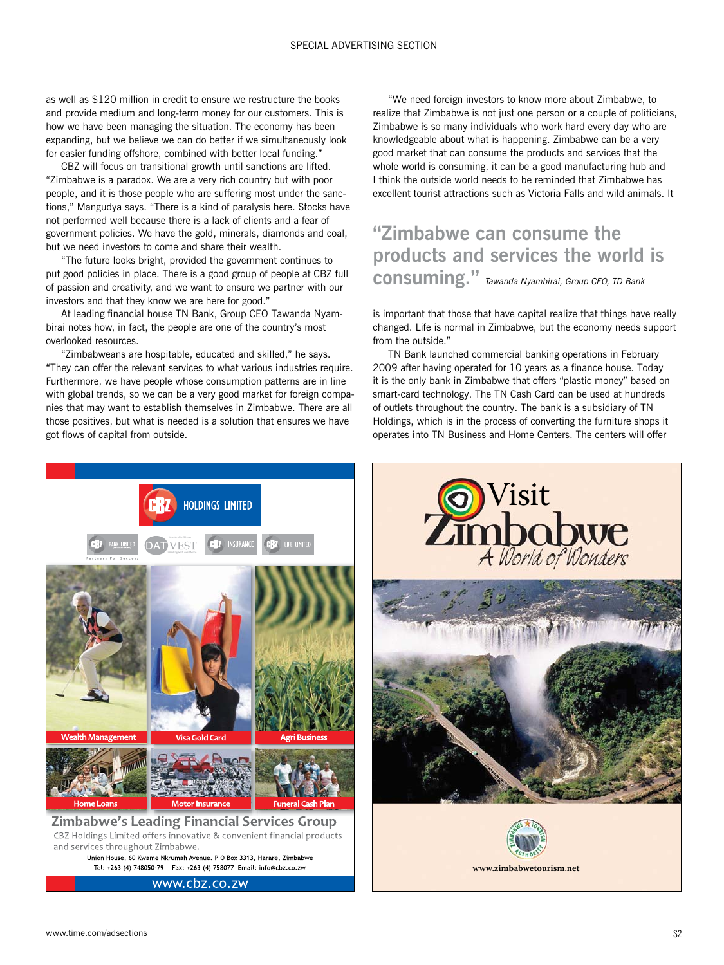as well as \$120 million in credit to ensure we restructure the books and provide medium and long-term money for our customers. This is how we have been managing the situation. The economy has been expanding, but we believe we can do better if we simultaneously look for easier funding offshore, combined with better local funding."

CBZ will focus on transitional growth until sanctions are lifted. "Zimbabwe is a paradox. We are a very rich country but with poor people, and it is those people who are suffering most under the sanctions," Mangudya says. "There is a kind of paralysis here. Stocks have not performed well because there is a lack of clients and a fear of government policies. We have the gold, minerals, diamonds and coal, but we need investors to come and share their wealth.

"The future looks bright, provided the government continues to put good policies in place. There is a good group of people at CBZ full of passion and creativity, and we want to ensure we partner with our investors and that they know we are here for good."

At leading financial house TN Bank, Group CEO Tawanda Nyambirai notes how, in fact, the people are one of the country's most overlooked resources.

"Zimbabweans are hospitable, educated and skilled," he says. "They can offer the relevant services to what various industries require. Furthermore, we have people whose consumption patterns are in line with global trends, so we can be a very good market for foreign companies that may want to establish themselves in Zimbabwe. There are all those positives, but what is needed is a solution that ensures we have got flows of capital from outside.

"We need foreign investors to know more about Zimbabwe, to realize that Zimbabwe is not just one person or a couple of politicians, Zimbabwe is so many individuals who work hard every day who are knowledgeable about what is happening. Zimbabwe can be a very good market that can consume the products and services that the whole world is consuming, it can be a good manufacturing hub and I think the outside world needs to be reminded that Zimbabwe has excellent tourist attractions such as Victoria Falls and wild animals. It

#### **"Zimbabwe can consume the products and services the world is consuming."** *Tawanda Nyambirai, Group CEO, TD Bank*

is important that those that have capital realize that things have really changed. Life is normal in Zimbabwe, but the economy needs support from the outside."

TN Bank launched commercial banking operations in February 2009 after having operated for 10 years as a finance house. Today it is the only bank in Zimbabwe that offers "plastic money" based on smart-card technology. The TN Cash Card can be used at hundreds of outlets throughout the country. The bank is a subsidiary of TN Holdings, which is in the process of converting the furniture shops it operates into TN Business and Home Centers. The centers will offer



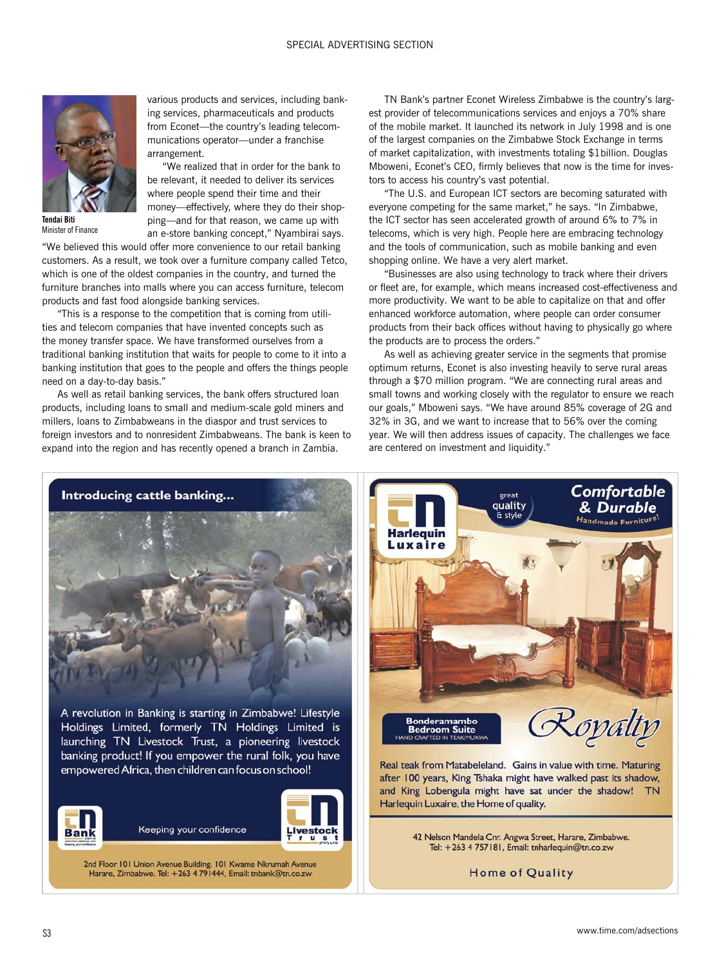

**Tendai Biti** Minister of Finance

an e-store banking concept," Nyambirai says. "We believed this would offer more convenience to our retail banking customers. As a result, we took over a furniture company called Tetco, which is one of the oldest companies in the country, and turned the furniture branches into malls where you can access furniture, telecom products and fast food alongside banking services.

arrangement.

various products and services, including banking services, pharmaceuticals and products from Econet—the country's leading telecommunications operator—under a franchise

"We realized that in order for the bank to be relevant, it needed to deliver its services where people spend their time and their money—effectively, where they do their shopping—and for that reason, we came up with

"This is a response to the competition that is coming from utilities and telecom companies that have invented concepts such as the money transfer space. We have transformed ourselves from a traditional banking institution that waits for people to come to it into a banking institution that goes to the people and offers the things people need on a day-to-day basis."

As well as retail banking services, the bank offers structured loan products, including loans to small and medium-scale gold miners and millers, loans to Zimbabweans in the diaspor and trust services to foreign investors and to nonresident Zimbabweans. The bank is keen to expand into the region and has recently opened a branch in Zambia.

TN Bank's partner Econet Wireless Zimbabwe is the country's largest provider of telecommunications services and enjoys a 70% share of the mobile market. It launched its network in July 1998 and is one of the largest companies on the Zimbabwe Stock Exchange in terms of market capitalization, with investments totaling \$1billion. Douglas Mboweni, Econet's CEO, firmly believes that now is the time for investors to access his country's vast potential.

"The U.S. and European ICT sectors are becoming saturated with everyone competing for the same market," he says. "In Zimbabwe, the ICT sector has seen accelerated growth of around 6% to 7% in telecoms, which is very high. People here are embracing technology and the tools of communication, such as mobile banking and even shopping online. We have a very alert market.

"Businesses are also using technology to track where their drivers or fleet are, for example, which means increased cost-effectiveness and more productivity. We want to be able to capitalize on that and offer enhanced workforce automation, where people can order consumer products from their back offices without having to physically go where the products are to process the orders."

As well as achieving greater service in the segments that promise optimum returns, Econet is also investing heavily to serve rural areas through a \$70 million program. "We are connecting rural areas and small towns and working closely with the regulator to ensure we reach our goals," Mboweni says. "We have around 85% coverage of 2G and 32% in 3G, and we want to increase that to 56% over the coming year. We will then address issues of capacity. The challenges we face are centered on investment and liquidity."



2nd Floor 101 Union Avenue Building. 101 Kwame Nkrumah Avenue Harare, Zimbabwe. Tel: +263 4 791444, Email: tnbank@tn.co.zw



after 100 years, King Tshaka might have walked past its shadow, and King Lobengula might have sat under the shadow! TN Harlequin Luxaire, the Home of quality.

> 42 Nelson Mandela Cnr. Angwa Street, Harare, Zimbabwe. Tel: +263 4 757181, Email: tnharlequin@tn.co.zw

> > Home of Quality